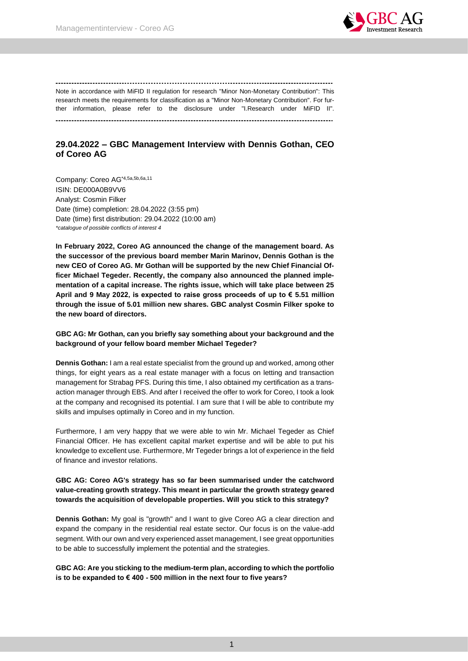

Note in accordance with MiFID II regulation for research "Minor Non-Monetary Contribution": This research meets the requirements for classification as a "Minor Non-Monetary Contribution". For further information, please refer to the disclosure under "I.Research under MiFID II". 

# **29.04.2022 – GBC Management Interview with Dennis Gothan, CEO of Coreo AG**

Company: Coreo AG\*4,5a,5b,6a,11 ISIN: DE000A0B9VV6 Analyst: Cosmin Filker Date (time) completion: 28.04.2022 (3:55 pm) Date (time) first distribution: 29.04.2022 (10:00 am) *\*catalogue of possible conflicts of interest 4*

**In February 2022, Coreo AG announced the change of the management board. As the successor of the previous board member Marin Marinov, Dennis Gothan is the new CEO of Coreo AG. Mr Gothan will be supported by the new Chief Financial Officer Michael Tegeder. Recently, the company also announced the planned implementation of a capital increase. The rights issue, which will take place between 25 April and 9 May 2022, is expected to raise gross proceeds of up to € 5.51 million through the issue of 5.01 million new shares. GBC analyst Cosmin Filker spoke to the new board of directors.**

## **GBC AG: Mr Gothan, can you briefly say something about your background and the background of your fellow board member Michael Tegeder?**

**Dennis Gothan:** I am a real estate specialist from the ground up and worked, among other things, for eight years as a real estate manager with a focus on letting and transaction management for Strabag PFS. During this time, I also obtained my certification as a transaction manager through EBS. And after I received the offer to work for Coreo, I took a look at the company and recognised its potential. I am sure that I will be able to contribute my skills and impulses optimally in Coreo and in my function.

Furthermore, I am very happy that we were able to win Mr. Michael Tegeder as Chief Financial Officer. He has excellent capital market expertise and will be able to put his knowledge to excellent use. Furthermore, Mr Tegeder brings a lot of experience in the field of finance and investor relations.

## **GBC AG: Coreo AG's strategy has so far been summarised under the catchword value-creating growth strategy. This meant in particular the growth strategy geared towards the acquisition of developable properties. Will you stick to this strategy?**

**Dennis Gothan:** My goal is "growth" and I want to give Coreo AG a clear direction and expand the company in the residential real estate sector. Our focus is on the value-add segment. With our own and very experienced asset management, I see great opportunities to be able to successfully implement the potential and the strategies.

**GBC AG: Are you sticking to the medium-term plan, according to which the portfolio is to be expanded to € 400 - 500 million in the next four to five years?**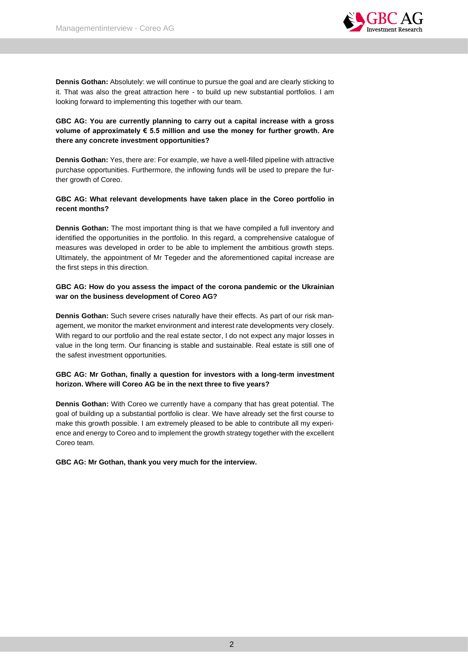

**Dennis Gothan:** Absolutely: we will continue to pursue the goal and are clearly sticking to it. That was also the great attraction here - to build up new substantial portfolios. I am looking forward to implementing this together with our team.

## **GBC AG: You are currently planning to carry out a capital increase with a gross volume of approximately € 5.5 million and use the money for further growth. Are there any concrete investment opportunities?**

**Dennis Gothan:** Yes, there are: For example, we have a well-filled pipeline with attractive purchase opportunities. Furthermore, the inflowing funds will be used to prepare the further growth of Coreo.

## **GBC AG: What relevant developments have taken place in the Coreo portfolio in recent months?**

**Dennis Gothan:** The most important thing is that we have compiled a full inventory and identified the opportunities in the portfolio. In this regard, a comprehensive catalogue of measures was developed in order to be able to implement the ambitious growth steps. Ultimately, the appointment of Mr Tegeder and the aforementioned capital increase are the first steps in this direction.

## **GBC AG: How do you assess the impact of the corona pandemic or the Ukrainian war on the business development of Coreo AG?**

**Dennis Gothan:** Such severe crises naturally have their effects. As part of our risk management, we monitor the market environment and interest rate developments very closely. With regard to our portfolio and the real estate sector, I do not expect any major losses in value in the long term. Our financing is stable and sustainable. Real estate is still one of the safest investment opportunities.

## **GBC AG: Mr Gothan, finally a question for investors with a long-term investment horizon. Where will Coreo AG be in the next three to five years?**

**Dennis Gothan:** With Coreo we currently have a company that has great potential. The goal of building up a substantial portfolio is clear. We have already set the first course to make this growth possible. I am extremely pleased to be able to contribute all my experience and energy to Coreo and to implement the growth strategy together with the excellent Coreo team.

**GBC AG: Mr Gothan, thank you very much for the interview.**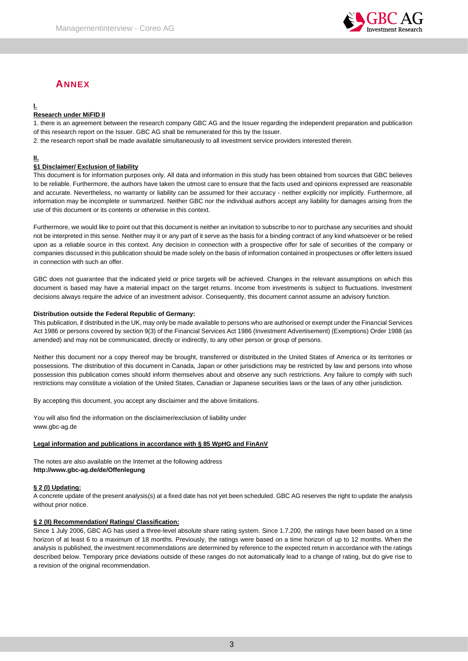

# **ANNEX**

# **I.**

## **Research under MiFID II**

1. there is an agreement between the research company GBC AG and the Issuer regarding the independent preparation and publication of this research report on the Issuer. GBC AG shall be remunerated for this by the Issuer.

2. the research report shall be made available simultaneously to all investment service providers interested therein.

## **II.**

## **§1 Disclaimer/ Exclusion of liability**

This document is for information purposes only. All data and information in this study has been obtained from sources that GBC believes to be reliable. Furthermore, the authors have taken the utmost care to ensure that the facts used and opinions expressed are reasonable and accurate. Nevertheless, no warranty or liability can be assumed for their accuracy - neither explicitly nor implicitly. Furthermore, all information may be incomplete or summarized. Neither GBC nor the individual authors accept any liability for damages arising from the use of this document or its contents or otherwise in this context.

Furthermore, we would like to point out that this document is neither an invitation to subscribe to nor to purchase any securities and should not be interpreted in this sense. Neither may it or any part of it serve as the basis for a binding contract of any kind whatsoever or be relied upon as a reliable source in this context. Any decision in connection with a prospective offer for sale of securities of the company or companies discussed in this publication should be made solely on the basis of information contained in prospectuses or offer letters issued in connection with such an offer.

GBC does not guarantee that the indicated yield or price targets will be achieved. Changes in the relevant assumptions on which this document is based may have a material impact on the target returns. Income from investments is subject to fluctuations. Investment decisions always require the advice of an investment advisor. Consequently, this document cannot assume an advisory function.

#### **Distribution outside the Federal Republic of Germany:**

This publication, if distributed in the UK, may only be made available to persons who are authorised or exempt under the Financial Services Act 1986 or persons covered by section 9(3) of the Financial Services Act 1986 (Investment Advertisement) (Exemptions) Order 1988 (as amended) and may not be communicated, directly or indirectly, to any other person or group of persons.

Neither this document nor a copy thereof may be brought, transferred or distributed in the United States of America or its territories or possessions. The distribution of this document in Canada, Japan or other jurisdictions may be restricted by law and persons into whose possession this publication comes should inform themselves about and observe any such restrictions. Any failure to comply with such restrictions may constitute a violation of the United States, Canadian or Japanese securities laws or the laws of any other jurisdiction.

By accepting this document, you accept any disclaimer and the above limitations.

You will also find the information on the disclaimer/exclusion of liability under www.gbc-ag.de

#### **Legal information and publications in accordance with § 85 WpHG and FinAnV**

The notes are also available on the Internet at the following address **http://www.gbc-ag.de/de/Offenlegung**

#### **§ 2 (I) Updating:**

A concrete update of the present analysis(s) at a fixed date has not yet been scheduled. GBC AG reserves the right to update the analysis without prior notice.

#### **§ 2 (II) Recommendation/ Ratings/ Classification:**

Since 1 July 2006, GBC AG has used a three-level absolute share rating system. Since 1.7.200, the ratings have been based on a time horizon of at least 6 to a maximum of 18 months. Previously, the ratings were based on a time horizon of up to 12 months. When the analysis is published, the investment recommendations are determined by reference to the expected return in accordance with the ratings described below. Temporary price deviations outside of these ranges do not automatically lead to a change of rating, but do give rise to a revision of the original recommendation.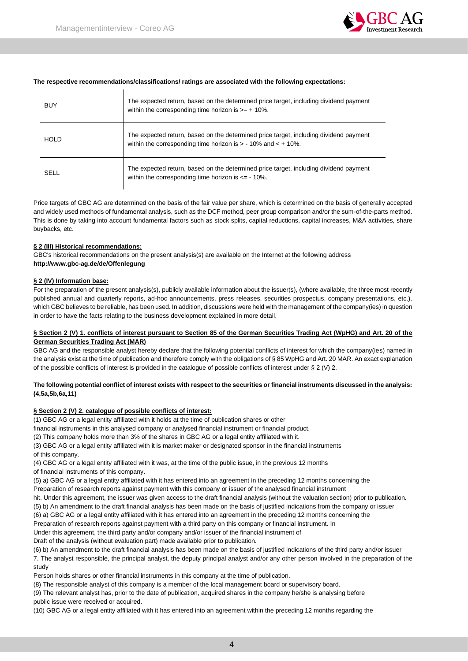

#### **The respective recommendations/classifications/ ratings are associated with the following expectations:**

| <b>BUY</b>  | The expected return, based on the determined price target, including dividend payment<br>within the corresponding time horizon is $>= +10\%$ .              |
|-------------|-------------------------------------------------------------------------------------------------------------------------------------------------------------|
| <b>HOLD</b> | The expected return, based on the determined price target, including dividend payment<br>within the corresponding time horizon is $> -10\%$ and $< +10\%$ . |
| SELL        | The expected return, based on the determined price target, including dividend payment<br>within the corresponding time horizon is $\epsilon$ = -10%.        |

Price targets of GBC AG are determined on the basis of the fair value per share, which is determined on the basis of generally accepted and widely used methods of fundamental analysis, such as the DCF method, peer group comparison and/or the sum-of-the-parts method. This is done by taking into account fundamental factors such as stock splits, capital reductions, capital increases, M&A activities, share buybacks, etc.

#### **§ 2 (III) Historical recommendations:**

GBC's historical recommendations on the present analysis(s) are available on the Internet at the following address **http://www.gbc-ag.de/de/Offenlegung**

#### **§ 2 (IV) Information base:**

For the preparation of the present analysis(s), publicly available information about the issuer(s), (where available, the three most recently published annual and quarterly reports, ad-hoc announcements, press releases, securities prospectus, company presentations, etc.), which GBC believes to be reliable, has been used. In addition, discussions were held with the management of the company(ies) in question in order to have the facts relating to the business development explained in more detail.

#### **§ Section 2 (V) 1. conflicts of interest pursuant to Section 85 of the German Securities Trading Act (WpHG) and Art. 20 of the German Securities Trading Act (MAR)**

GBC AG and the responsible analyst hereby declare that the following potential conflicts of interest for which the company(ies) named in the analysis exist at the time of publication and therefore comply with the obligations of § 85 WpHG and Art. 20 MAR. An exact explanation of the possible conflicts of interest is provided in the catalogue of possible conflicts of interest under § 2 (V) 2.

#### **The following potential conflict of interest exists with respect to the securities or financial instruments discussed in the analysis: (4,5a,5b,6a,11)**

#### **§ Section 2 (V) 2. catalogue of possible conflicts of interest:**

(1) GBC AG or a legal entity affiliated with it holds at the time of publication shares or other

financial instruments in this analysed company or analysed financial instrument or financial product.

(2) This company holds more than 3% of the shares in GBC AG or a legal entity affiliated with it.

(3) GBC AG or a legal entity affiliated with it is market maker or designated sponsor in the financial instruments of this company.

(4) GBC AG or a legal entity affiliated with it was, at the time of the public issue, in the previous 12 months of financial instruments of this company.

(5) a) GBC AG or a legal entity affiliated with it has entered into an agreement in the preceding 12 months concerning the

Preparation of research reports against payment with this company or issuer of the analysed financial instrument

hit. Under this agreement, the issuer was given access to the draft financial analysis (without the valuation section) prior to publication.

(5) b) An amendment to the draft financial analysis has been made on the basis of justified indications from the company or issuer

(6) a) GBC AG or a legal entity affiliated with it has entered into an agreement in the preceding 12 months concerning the

Preparation of research reports against payment with a third party on this company or financial instrument. In

Under this agreement, the third party and/or company and/or issuer of the financial instrument of

Draft of the analysis (without evaluation part) made available prior to publication.

(6) b) An amendment to the draft financial analysis has been made on the basis of justified indications of the third party and/or issuer 7. The analyst responsible, the principal analyst, the deputy principal analyst and/or any other person involved in the preparation of the study

Person holds shares or other financial instruments in this company at the time of publication.

(8) The responsible analyst of this company is a member of the local management board or supervisory board.

(9) The relevant analyst has, prior to the date of publication, acquired shares in the company he/she is analysing before public issue were received or acquired.

(10) GBC AG or a legal entity affiliated with it has entered into an agreement within the preceding 12 months regarding the